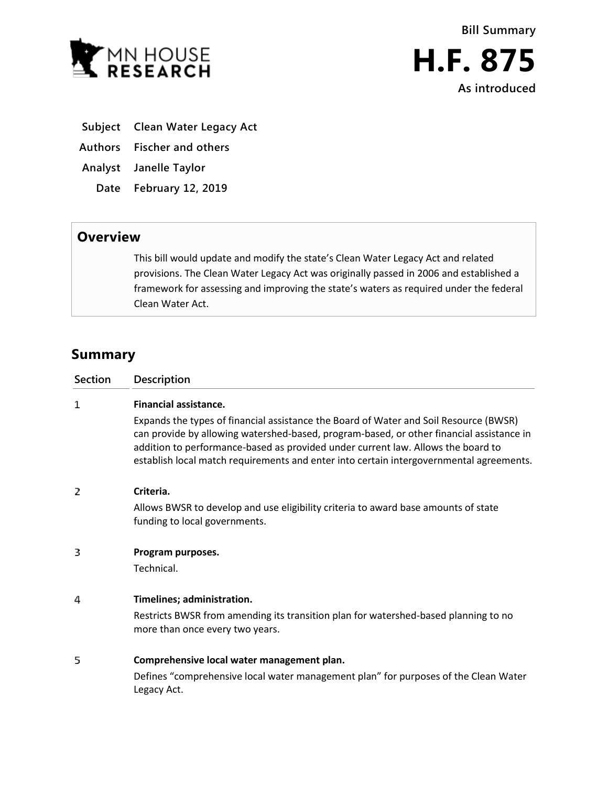



- **Subject Clean Water Legacy Act**
- **Authors Fischer and others**
- **Analyst Janelle Taylor**
	- **Date February 12, 2019**

## **Overview**

This bill would update and modify the state's Clean Water Legacy Act and related provisions. The Clean Water Legacy Act was originally passed in 2006 and established a framework for assessing and improving the state's waters as required under the federal Clean Water Act.

# **Summary**

| <b>Section</b> | <b>Description</b>                                                                                                                                                                                                                                                                                                                                                                               |
|----------------|--------------------------------------------------------------------------------------------------------------------------------------------------------------------------------------------------------------------------------------------------------------------------------------------------------------------------------------------------------------------------------------------------|
| 1              | <b>Financial assistance.</b><br>Expands the types of financial assistance the Board of Water and Soil Resource (BWSR)<br>can provide by allowing watershed-based, program-based, or other financial assistance in<br>addition to performance-based as provided under current law. Allows the board to<br>establish local match requirements and enter into certain intergovernmental agreements. |
| 2              | Criteria.<br>Allows BWSR to develop and use eligibility criteria to award base amounts of state<br>funding to local governments.                                                                                                                                                                                                                                                                 |
| в              | Program purposes.<br>Technical.                                                                                                                                                                                                                                                                                                                                                                  |
| 4              | Timelines; administration.<br>Restricts BWSR from amending its transition plan for watershed-based planning to no<br>more than once every two years.                                                                                                                                                                                                                                             |
| 5              | Comprehensive local water management plan.<br>Defines "comprehensive local water management plan" for purposes of the Clean Water<br>Legacy Act.                                                                                                                                                                                                                                                 |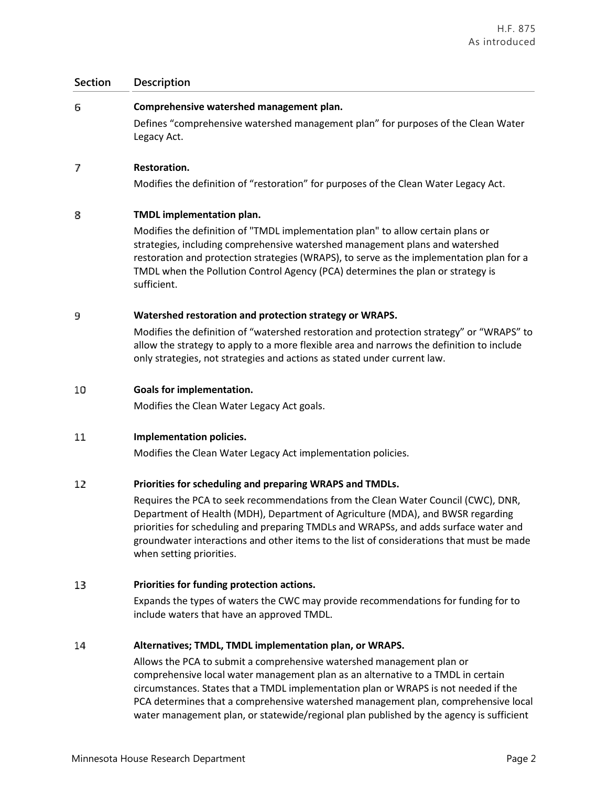| <b>Section</b> | Description                                                                                                                                                                                                                                                                                                                                                                          |
|----------------|--------------------------------------------------------------------------------------------------------------------------------------------------------------------------------------------------------------------------------------------------------------------------------------------------------------------------------------------------------------------------------------|
| 6              | Comprehensive watershed management plan.                                                                                                                                                                                                                                                                                                                                             |
|                | Defines "comprehensive watershed management plan" for purposes of the Clean Water<br>Legacy Act.                                                                                                                                                                                                                                                                                     |
| 7              | Restoration.                                                                                                                                                                                                                                                                                                                                                                         |
|                | Modifies the definition of "restoration" for purposes of the Clean Water Legacy Act.                                                                                                                                                                                                                                                                                                 |
| 8              | TMDL implementation plan.                                                                                                                                                                                                                                                                                                                                                            |
|                | Modifies the definition of "TMDL implementation plan" to allow certain plans or<br>strategies, including comprehensive watershed management plans and watershed<br>restoration and protection strategies (WRAPS), to serve as the implementation plan for a<br>TMDL when the Pollution Control Agency (PCA) determines the plan or strategy is<br>sufficient.                        |
| 9              | Watershed restoration and protection strategy or WRAPS.                                                                                                                                                                                                                                                                                                                              |
|                | Modifies the definition of "watershed restoration and protection strategy" or "WRAPS" to<br>allow the strategy to apply to a more flexible area and narrows the definition to include<br>only strategies, not strategies and actions as stated under current law.                                                                                                                    |
| 10             | <b>Goals for implementation.</b>                                                                                                                                                                                                                                                                                                                                                     |
|                | Modifies the Clean Water Legacy Act goals.                                                                                                                                                                                                                                                                                                                                           |
| 11             | Implementation policies.                                                                                                                                                                                                                                                                                                                                                             |
|                | Modifies the Clean Water Legacy Act implementation policies.                                                                                                                                                                                                                                                                                                                         |
| 12             | Priorities for scheduling and preparing WRAPS and TMDLs.                                                                                                                                                                                                                                                                                                                             |
|                | Requires the PCA to seek recommendations from the Clean Water Council (CWC), DNR,<br>Department of Health (MDH), Department of Agriculture (MDA), and BWSR regarding<br>priorities for scheduling and preparing TMDLs and WRAPSs, and adds surface water and<br>groundwater interactions and other items to the list of considerations that must be made<br>when setting priorities. |
| 13             | Priorities for funding protection actions.                                                                                                                                                                                                                                                                                                                                           |
|                | Expands the types of waters the CWC may provide recommendations for funding for to<br>include waters that have an approved TMDL.                                                                                                                                                                                                                                                     |
| 14             | Alternatives; TMDL, TMDL implementation plan, or WRAPS.                                                                                                                                                                                                                                                                                                                              |
|                | Allows the PCA to submit a comprehensive watershed management plan or                                                                                                                                                                                                                                                                                                                |

comprehensive local water management plan as an alternative to a TMDL in certain circumstances. States that a TMDL implementation plan or WRAPS is not needed if the PCA determines that a comprehensive watershed management plan, comprehensive local water management plan, or statewide/regional plan published by the agency is sufficient